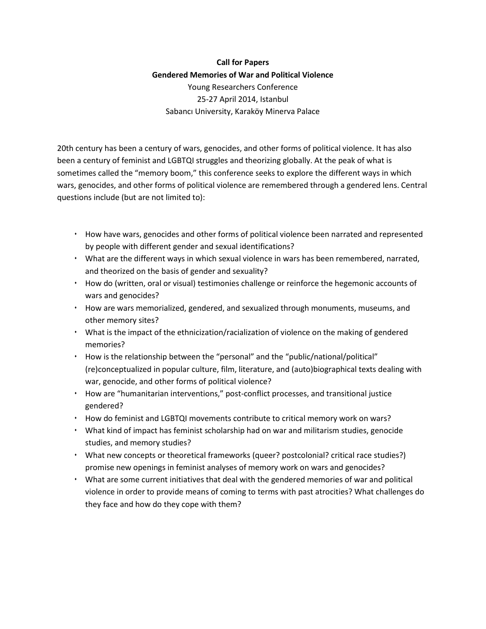## **Call for Papers Gendered Memories of War and Political Violence** Young Researchers Conference 25-27 April 2014, Istanbul Sabancı University, Karaköy Minerva Palace

20th century has been a century of wars, genocides, and other forms of political violence. It has also been a century of feminist and LGBTQI struggles and theorizing globally. At the peak of what is sometimes called the "memory boom," this conference seeks to explore the different ways in which wars, genocides, and other forms of political violence are remembered through a gendered lens. Central questions include (but are not limited to):

- $\cdot$  How have wars, genocides and other forms of political violence been narrated and represented by people with different gender and sexual identifications?
- What are the different ways in which sexual violence in wars has been remembered, narrated, and theorized on the basis of gender and sexuality?
- $\cdot$  How do (written, oral or visual) testimonies challenge or reinforce the hegemonic accounts of wars and genocides?
- How are wars memorialized, gendered, and sexualized through monuments, museums, and other memory sites?
- What is the impact of the ethnicization/racialization of violence on the making of gendered memories?
- How is the relationship between the "personal" and the "public/national/political" (re)conceptualized in popular culture, film, literature, and (auto)biographical texts dealing with war, genocide, and other forms of political violence?
- How are "humanitarian interventions," post-conflict processes, and transitional justice gendered?
- $\cdot$  How do feminist and LGBTQI movements contribute to critical memory work on wars?
- What kind of impact has feminist scholarship had on war and militarism studies, genocide studies, and memory studies?
- What new concepts or theoretical frameworks (queer? postcolonial? critical race studies?) promise new openings in feminist analyses of memory work on wars and genocides?
- What are some current initiatives that deal with the gendered memories of war and political violence in order to provide means of coming to terms with past atrocities? What challenges do they face and how do they cope with them?